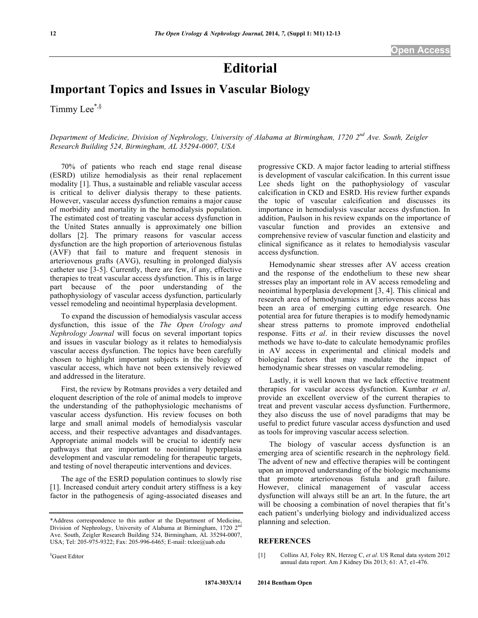## **Editorial**

## **Important Topics and Issues in Vascular Biology**

Timmy Lee<sup>\*,§</sup>

*Department of Medicine, Division of Nephrology, University of Alabama at Birmingham, 1720 2nd Ave. South, Zeigler Research Building 524, Birmingham, AL 35294-0007, USA*

70% of patients who reach end stage renal disease (ESRD) utilize hemodialysis as their renal replacement modality [1]. Thus, a sustainable and reliable vascular access is critical to deliver dialysis therapy to these patients. However, vascular access dysfunction remains a major cause of morbidity and mortality in the hemodialysis population. The estimated cost of treating vascular access dysfunction in the United States annually is approximately one billion dollars [2]. The primary reasons for vascular access dysfunction are the high proportion of arteriovenous fistulas (AVF) that fail to mature and frequent stenosis in arteriovenous grafts (AVG), resulting in prolonged dialysis catheter use [3-5]. Currently, there are few, if any, effective therapies to treat vascular access dysfunction. This is in large part because of the poor understanding of the pathophysiology of vascular access dysfunction, particularly vessel remodeling and neointimal hyperplasia development.

To expand the discussion of hemodialysis vascular access dysfunction, this issue of the *The Open Urology and Nephrology Journal* will focus on several important topics and issues in vascular biology as it relates to hemodialysis vascular access dysfunction. The topics have been carefully chosen to highlight important subjects in the biology of vascular access, which have not been extensively reviewed and addressed in the literature.

First, the review by Rotmans provides a very detailed and eloquent description of the role of animal models to improve the understanding of the pathophysiologic mechanisms of vascular access dysfunction. His review focuses on both large and small animal models of hemodialysis vascular access, and their respective advantages and disadvantages. Appropriate animal models will be crucial to identify new pathways that are important to neointimal hyperplasia development and vascular remodeling for therapeutic targets, and testing of novel therapeutic interventions and devices.

The age of the ESRD population continues to slowly rise [1]. Increased conduit artery conduit artery stiffness is a key factor in the pathogenesis of aging-associated diseases and progressive CKD. A major factor leading to arterial stiffness is development of vascular calcification. In this current issue Lee sheds light on the pathophysiology of vascular calcification in CKD and ESRD. His review further expands the topic of vascular calcification and discusses its importance in hemodialysis vascular access dysfunction. In addition, Paulson in his review expands on the importance of vascular function and provides an extensive and comprehensive review of vascular function and elasticity and clinical significance as it relates to hemodialysis vascular access dysfunction.

Hemodynamic shear stresses after AV access creation and the response of the endothelium to these new shear stresses play an important role in AV access remodeling and neointimal hyperplasia development [3, 4]. This clinical and research area of hemodynamics in arteriovenous access has been an area of emerging cutting edge research. One potential area for future therapies is to modify hemodynamic shear stress patterns to promote improved endothelial response. Fitts *et al*. in their review discusses the novel methods we have to-date to calculate hemodynamic profiles in AV access in experimental and clinical models and biological factors that may modulate the impact of hemodynamic shear stresses on vascular remodeling.

Lastly, it is well known that we lack effective treatment therapies for vascular access dysfunction. Kumbar *et al*. provide an excellent overview of the current therapies to treat and prevent vascular access dysfunction. Furthermore, they also discuss the use of novel paradigms that may be useful to predict future vascular access dysfunction and used as tools for improving vascular access selection.

The biology of vascular access dysfunction is an emerging area of scientific research in the nephrology field. The advent of new and effective therapies will be contingent upon an improved understanding of the biologic mechanisms that promote arteriovenous fistula and graft failure. However, clinical management of vascular access dysfunction will always still be an art. In the future, the art will be choosing a combination of novel therapies that fit's each patient's underlying biology and individualized access planning and selection.

## **REFERENCES**

[1] Collins AJ, Foley RN, Herzog C, *et al*. US Renal data system 2012 annual data report. Am J Kidney Dis 2013; 61: A7, e1-476.

<sup>\*</sup>Address correspondence to this author at the Department of Medicine, Division of Nephrology, University of Alabama at Birmingham, 1720  $2<sup>n</sup>$ Ave. South, Zeigler Research Building 524, Birmingham, AL 35294-0007, USA; Tel: 205-975-9322; Fax: 205-996-6465; E-mail: txlee@uab.edu